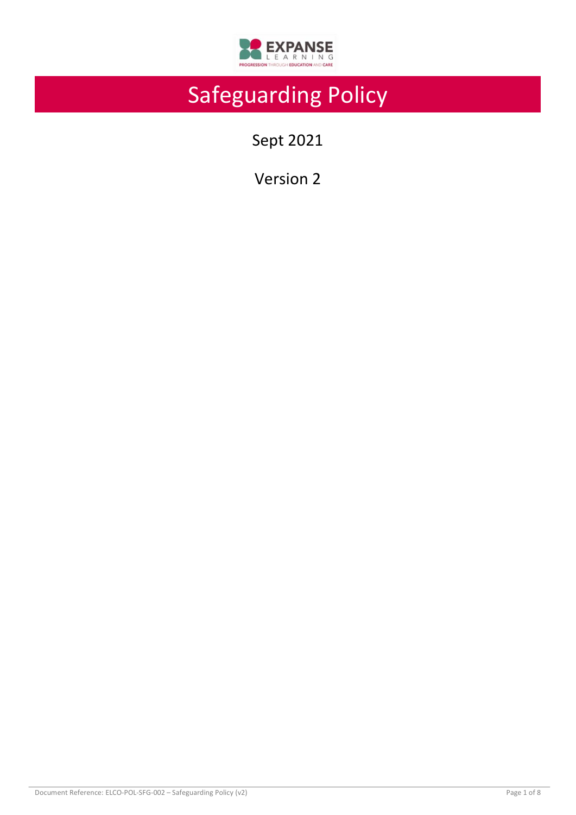

# Safeguarding Policy

Sept 2021

Version 2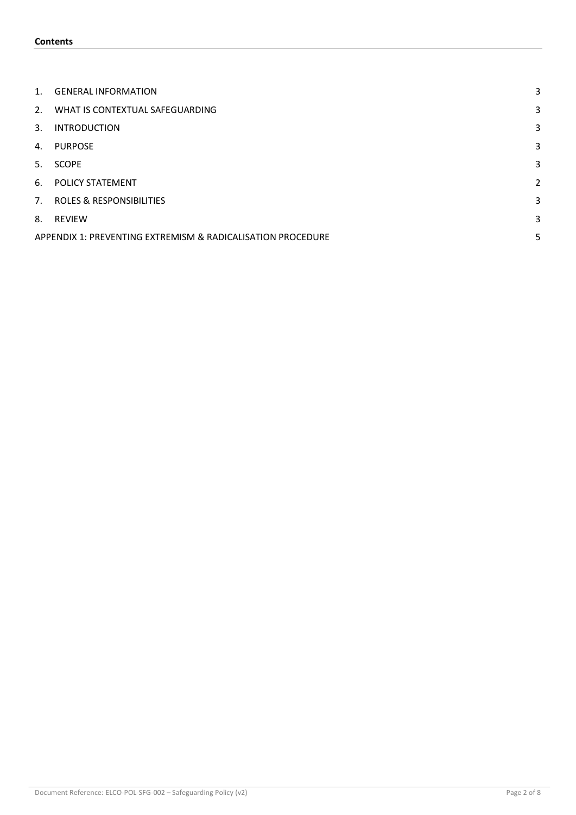| 1.             | <b>GENERAL INFORMATION</b>                                       | 3 |  |  |
|----------------|------------------------------------------------------------------|---|--|--|
| 2 <sub>1</sub> | WHAT IS CONTEXTUAL SAFEGUARDING                                  | 3 |  |  |
| 3.             | <b>INTRODUCTION</b>                                              | 3 |  |  |
| 4.             | <b>PURPOSE</b>                                                   | 3 |  |  |
| 5.             | <b>SCOPE</b>                                                     | 3 |  |  |
| 6.             | <b>POLICY STATEMENT</b>                                          | 2 |  |  |
| 7.             | <b>ROLES &amp; RESPONSIBILITIES</b>                              | 3 |  |  |
| 8.             | <b>REVIEW</b>                                                    | 3 |  |  |
|                | 5<br>APPENDIX 1: PREVENTING EXTREMISM & RADICALISATION PROCEDURE |   |  |  |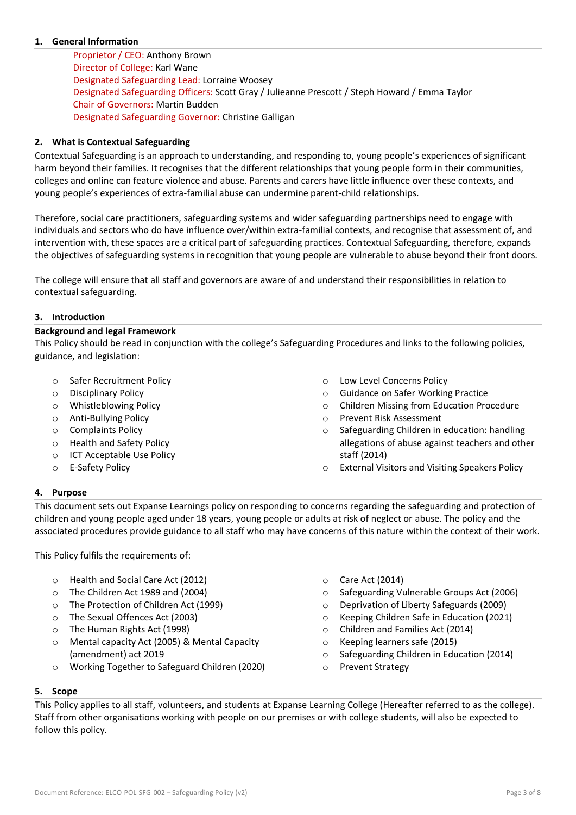## <span id="page-2-0"></span>**1. General Information**

Proprietor / CEO: Anthony Brown Director of College: Karl Wane Designated Safeguarding Lead: Lorraine Woosey Designated Safeguarding Officers: Scott Gray / Julieanne Prescott / Steph Howard / Emma Taylor Chair of Governors: Martin Budden Designated Safeguarding Governor: Christine Galligan

## <span id="page-2-1"></span>**2. What is Contextual Safeguarding**

Contextual Safeguarding is an approach to understanding, and responding to, young people's experiences of significant harm beyond their families. It recognises that the different relationships that young people form in their communities, colleges and online can feature violence and abuse. Parents and carers have little influence over these contexts, and young people's experiences of extra-familial abuse can undermine parent-child relationships.

Therefore, social care practitioners, safeguarding systems and wider safeguarding partnerships need to engage with individuals and sectors who do have influence over/within extra-familial contexts, and recognise that assessment of, and intervention with, these spaces are a critical part of safeguarding practices. Contextual Safeguarding, therefore, expands the objectives of safeguarding systems in recognition that young people are vulnerable to abuse beyond their front doors.

The college will ensure that all staff and governors are aware of and understand their responsibilities in relation to contextual safeguarding.

#### <span id="page-2-2"></span>**3. Introduction**

#### **Background and legal Framework**

This Policy should be read in conjunction with the college's Safeguarding Procedures and links to the following policies, guidance, and legislation:

- o Safer Recruitment Policy
- o Disciplinary Policy
- o Whistleblowing Policy
- o Anti-Bullying Policy
- o Complaints Policy
- o Health and Safety Policy
- o ICT Acceptable Use Policy
- o E-Safety Policy
- o Low Level Concerns Policy
- o Guidance on Safer Working Practice
- o Children Missing from Education Procedure
- o Prevent Risk Assessment
- o Safeguarding Children in education: handling allegations of abuse against teachers and other staff (2014)
- o External Visitors and Visiting Speakers Policy

## <span id="page-2-3"></span>**4. Purpose**

This document sets out Expanse Learnings policy on responding to concerns regarding the safeguarding and protection of children and young people aged under 18 years, young people or adults at risk of neglect or abuse. The policy and the associated procedures provide guidance to all staff who may have concerns of this nature within the context of their work.

This Policy fulfils the requirements of:

- o Health and Social Care Act (2012)
- o The Children Act 1989 and (2004)
- o The Protection of Children Act (1999)
- o The Sexual Offences Act (2003)
- o The Human Rights Act (1998)
- o Mental capacity Act (2005) & Mental Capacity (amendment) act 2019
- o Working Together to Safeguard Children (2020)
- o Care Act (2014)
- o Safeguarding Vulnerable Groups Act (2006)
- o Deprivation of Liberty Safeguards (2009)
- o Keeping Children Safe in Education (2021)
- o Children and Families Act (2014)
- o Keeping learners safe (2015)
- o Safeguarding Children in Education (2014)
- o Prevent Strategy

#### <span id="page-2-4"></span>**5. Scope**

This Policy applies to all staff, volunteers, and students at Expanse Learning College (Hereafter referred to as the college). Staff from other organisations working with people on our premises or with college students, will also be expected to follow this policy.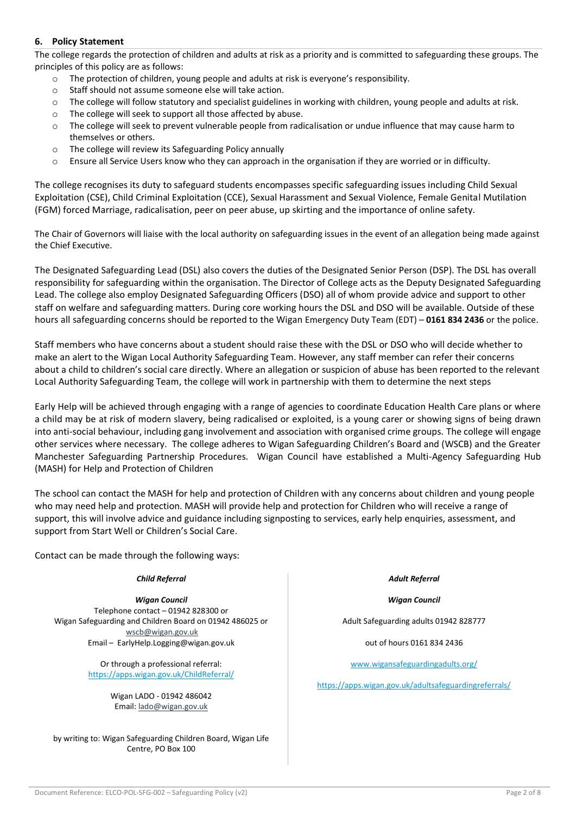## <span id="page-3-0"></span>**6. Policy Statement**

The college regards the protection of children and adults at risk as a priority and is committed to safeguarding these groups. The principles of this policy are as follows:

- o The protection of children, young people and adults at risk is everyone's responsibility.
- o Staff should not assume someone else will take action.
- $\circ$  The college will follow statutory and specialist guidelines in working with children, young people and adults at risk.
- o The college will seek to support all those affected by abuse.
- $\circ$  The college will seek to prevent vulnerable people from radicalisation or undue influence that may cause harm to themselves or others.
- o The college will review its Safeguarding Policy annually
- $\circ$  Ensure all Service Users know who they can approach in the organisation if they are worried or in difficulty.

The college recognises its duty to safeguard students encompasses specific safeguarding issues including Child Sexual Exploitation (CSE), Child Criminal Exploitation (CCE), Sexual Harassment and Sexual Violence, Female Genital Mutilation (FGM) forced Marriage, radicalisation, peer on peer abuse, up skirting and the importance of online safety.

The Chair of Governors will liaise with the local authority on safeguarding issues in the event of an allegation being made against the Chief Executive.

The Designated Safeguarding Lead (DSL) also covers the duties of the Designated Senior Person (DSP). The DSL has overall responsibility for safeguarding within the organisation. The Director of College acts as the Deputy Designated Safeguarding Lead. The college also employ Designated Safeguarding Officers (DSO) all of whom provide advice and support to other staff on welfare and safeguarding matters. During core working hours the DSL and DSO will be available. Outside of these hours all safeguarding concerns should be reported to the Wigan Emergency Duty Team (EDT) – **0161 834 2436** or the police.

Staff members who have concerns about a student should raise these with the DSL or DSO who will decide whether to make an alert to the Wigan Local Authority Safeguarding Team. However, any staff member can refer their concerns about a child to children's social care directly. Where an allegation or suspicion of abuse has been reported to the relevant Local Authority Safeguarding Team, the college will work in partnership with them to determine the next steps

Early Help will be achieved through engaging with a range of agencies to coordinate Education Health Care plans or where a child may be at risk of modern slavery, being radicalised or exploited, is a young carer or showing signs of being drawn into anti-social behaviour, including gang involvement and association with organised crime groups. The college will engage other services where necessary. The college adheres to Wigan Safeguarding Children's Board and (WSCB) and the Greater Manchester Safeguarding Partnership Procedures. Wigan Council have established a Multi-Agency Safeguarding Hub (MASH) for Help and Protection of Children

The school can contact the MASH for help and protection of Children with any concerns about children and young people who may need help and protection. MASH will provide help and protection for Children who will receive a range of support, this will involve advice and guidance including signposting to services, early help enquiries, assessment, and support from Start Well or Children's Social Care.

Contact can be made through the following ways:

#### *Child Referral Adult Referral*

*Wigan Council* Telephone contact – 01942 828300 or Wigan Safeguarding and Children Board on 01942 486025 or [wscb@wigan.gov.uk](mailto:wscb@wigan.gov.uk) Email – EarlyHelp.Logging@wigan.gov.uk

> Or through a professional referral: <https://apps.wigan.gov.uk/ChildReferral/>

> > Wigan LADO - 01942 486042 Email: [lado@wigan.gov.uk](mailto:lado@wigan.gov.uk)

by writing to: Wigan Safeguarding Children Board, Wigan Life Centre, PO Box 100

*Wigan Council*

Adult Safeguarding adults 01942 828777

out of hours 0161 834 2436

[www.wigansafeguardingadults.org/](http://www.wigansafeguardingadults.org/)

<https://apps.wigan.gov.uk/adultsafeguardingreferrals/>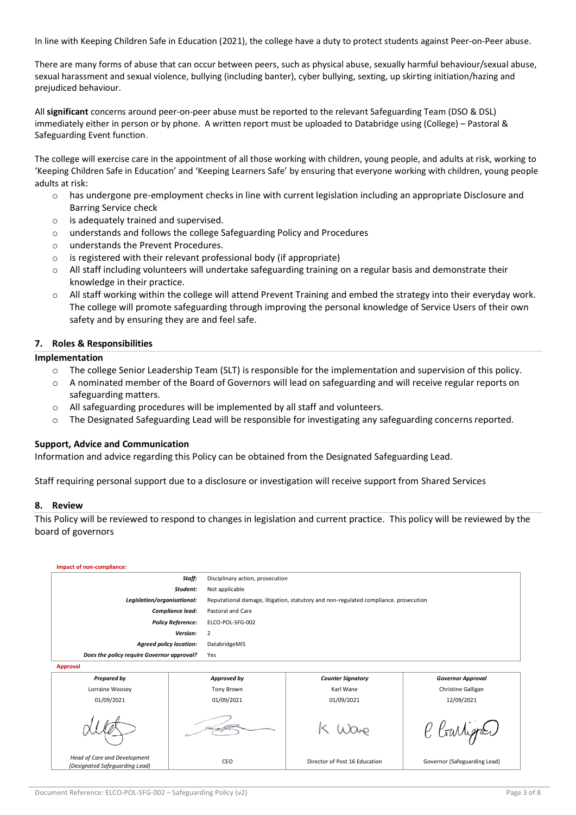In line with Keeping Children Safe in Education (2021), the college have a duty to protect students against Peer-on-Peer abuse.

There are many forms of abuse that can occur between peers, such as physical abuse, sexually harmful behaviour/sexual abuse, sexual harassment and sexual violence, bullying (including banter), cyber bullying, sexting, up skirting initiation/hazing and prejudiced behaviour.

All **significant** concerns around peer-on-peer abuse must be reported to the relevant Safeguarding Team (DSO & DSL) immediately either in person or by phone. A written report must be uploaded to Databridge using (College) – Pastoral & Safeguarding Event function.

The college will exercise care in the appointment of all those working with children, young people, and adults at risk, working to 'Keeping Children Safe in Education' and 'Keeping Learners Safe' by ensuring that everyone working with children, young people adults at risk:

- o has undergone pre-employment checks in line with current legislation including an appropriate Disclosure and Barring Service check
- o is adequately trained and supervised.
- o understands and follows the college Safeguarding Policy and Procedures
- o understands the Prevent Procedures.
- o is registered with their relevant professional body (if appropriate)
- o All staff including volunteers will undertake safeguarding training on a regular basis and demonstrate their knowledge in their practice.
- $\circ$  All staff working within the college will attend Prevent Training and embed the strategy into their everyday work. The college will promote safeguarding through improving the personal knowledge of Service Users of their own safety and by ensuring they are and feel safe.

#### <span id="page-4-0"></span>**7. Roles & Responsibilities**

#### **Implementation**

- o The college Senior Leadership Team (SLT) is responsible for the implementation and supervision of this policy.
- o A nominated member of the Board of Governors will lead on safeguarding and will receive regular reports on safeguarding matters.
- o All safeguarding procedures will be implemented by all staff and volunteers.
- o The Designated Safeguarding Lead will be responsible for investigating any safeguarding concerns reported.

#### **Support, Advice and Communication**

Information and advice regarding this Policy can be obtained from the Designated Safeguarding Lead.

Staff requiring personal support due to a disclosure or investigation will receive support from Shared Services

#### <span id="page-4-1"></span>**8. Review**

This Policy will be reviewed to respond to changes in legislation and current practice. This policy will be reviewed by the board of governors

| Impact of non-compliance:                                      |        |                                                                                      |                               |                              |  |  |  |  |
|----------------------------------------------------------------|--------|--------------------------------------------------------------------------------------|-------------------------------|------------------------------|--|--|--|--|
|                                                                | Staff: | Disciplinary action, prosecution                                                     |                               |                              |  |  |  |  |
| Student:                                                       |        | Not applicable                                                                       |                               |                              |  |  |  |  |
| Legislation/organisational:                                    |        | Reputational damage, litigation, statutory and non-regulated compliance. prosecution |                               |                              |  |  |  |  |
| Compliance lead:                                               |        | Pastoral and Care                                                                    |                               |                              |  |  |  |  |
| <b>Policy Reference:</b>                                       |        | ELCO-POL-SFG-002                                                                     |                               |                              |  |  |  |  |
| Version:                                                       |        | 2                                                                                    |                               |                              |  |  |  |  |
| <b>Agreed policy location:</b>                                 |        | DatabridgeMIS                                                                        |                               |                              |  |  |  |  |
| Does the policy require Governor approval?                     |        | Yes                                                                                  |                               |                              |  |  |  |  |
| <b>Approval</b>                                                |        |                                                                                      |                               |                              |  |  |  |  |
| <b>Prepared by</b>                                             |        | Approved by                                                                          | <b>Counter Signatory</b>      | <b>Governor Approval</b>     |  |  |  |  |
| Lorraine Woosey                                                |        |                                                                                      | Karl Wane                     | Christine Galligan           |  |  |  |  |
| 01/09/2021                                                     |        | 01/09/2021                                                                           | 01/09/2021                    | 12/09/2021                   |  |  |  |  |
|                                                                |        |                                                                                      |                               | C Garliga                    |  |  |  |  |
| Head of Care and Development<br>(Designated Safeguarding Lead) |        | CEO                                                                                  | Director of Post 16 Education | Governor (Safeguarding Lead) |  |  |  |  |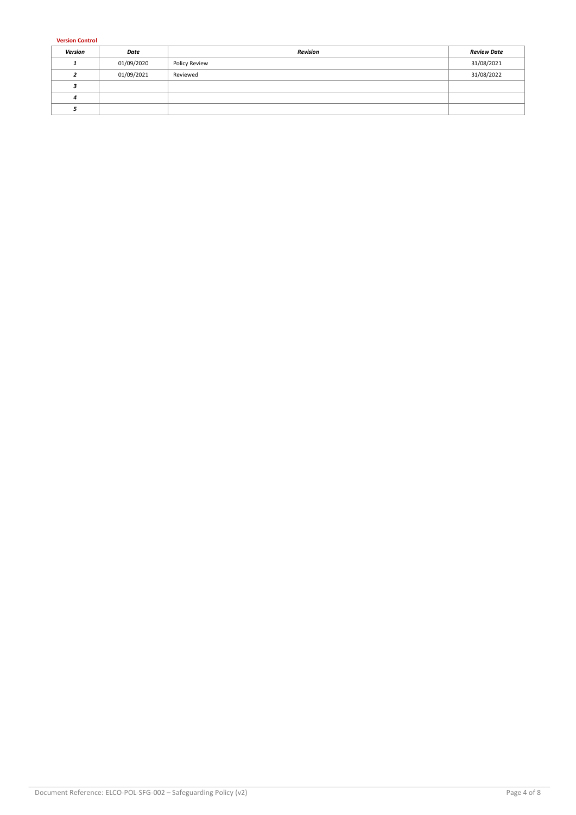**Version Control**

| Version | Date       | <b>Revision</b> | <b>Review Date</b> |
|---------|------------|-----------------|--------------------|
|         | 01/09/2020 | Policy Review   | 31/08/2021         |
|         | 01/09/2021 | Reviewed        | 31/08/2022         |
|         |            |                 |                    |
|         |            |                 |                    |
|         |            |                 |                    |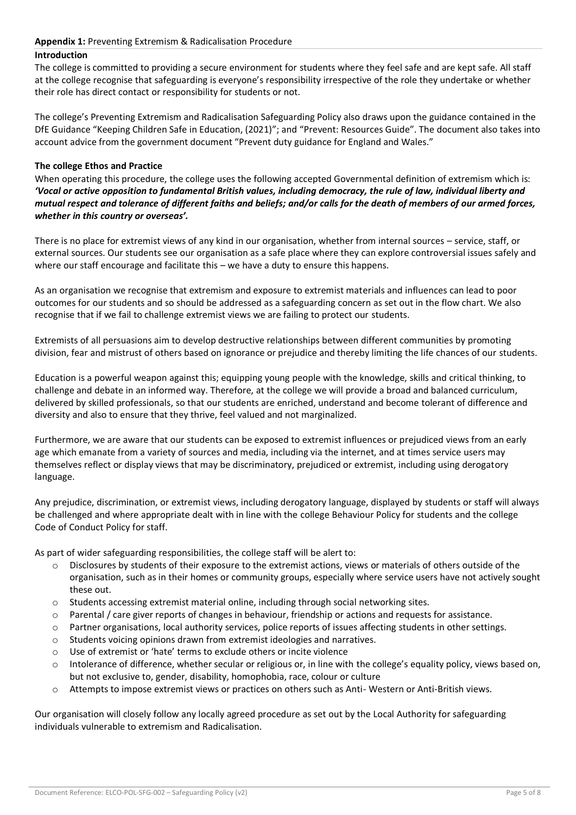## <span id="page-6-0"></span>**Appendix 1:** Preventing Extremism & Radicalisation Procedure

## **Introduction**

The college is committed to providing a secure environment for students where they feel safe and are kept safe. All staff at the college recognise that safeguarding is everyone's responsibility irrespective of the role they undertake or whether their role has direct contact or responsibility for students or not.

The college's Preventing Extremism and Radicalisation Safeguarding Policy also draws upon the guidance contained in the DfE Guidance "Keeping Children Safe in Education, (2021)"; and "Prevent: Resources Guide". The document also takes into account advice from the government document "Prevent duty guidance for England and Wales."

#### **The college Ethos and Practice**

When operating this procedure, the college uses the following accepted Governmental definition of extremism which is: *'Vocal or active opposition to fundamental British values, including democracy, the rule of law, individual liberty and mutual respect and tolerance of different faiths and beliefs; and/or calls for the death of members of our armed forces, whether in this country or overseas'.* 

There is no place for extremist views of any kind in our organisation, whether from internal sources – service, staff, or external sources. Our students see our organisation as a safe place where they can explore controversial issues safely and where our staff encourage and facilitate this – we have a duty to ensure this happens.

As an organisation we recognise that extremism and exposure to extremist materials and influences can lead to poor outcomes for our students and so should be addressed as a safeguarding concern as set out in the flow chart. We also recognise that if we fail to challenge extremist views we are failing to protect our students.

Extremists of all persuasions aim to develop destructive relationships between different communities by promoting division, fear and mistrust of others based on ignorance or prejudice and thereby limiting the life chances of our students.

Education is a powerful weapon against this; equipping young people with the knowledge, skills and critical thinking, to challenge and debate in an informed way. Therefore, at the college we will provide a broad and balanced curriculum, delivered by skilled professionals, so that our students are enriched, understand and become tolerant of difference and diversity and also to ensure that they thrive, feel valued and not marginalized.

Furthermore, we are aware that our students can be exposed to extremist influences or prejudiced views from an early age which emanate from a variety of sources and media, including via the internet, and at times service users may themselves reflect or display views that may be discriminatory, prejudiced or extremist, including using derogatory language.

Any prejudice, discrimination, or extremist views, including derogatory language, displayed by students or staff will always be challenged and where appropriate dealt with in line with the college Behaviour Policy for students and the college Code of Conduct Policy for staff.

As part of wider safeguarding responsibilities, the college staff will be alert to:

- o Disclosures by students of their exposure to the extremist actions, views or materials of others outside of the organisation, such as in their homes or community groups, especially where service users have not actively sought these out.
- o Students accessing extremist material online, including through social networking sites.
- o Parental / care giver reports of changes in behaviour, friendship or actions and requests for assistance.
- o Partner organisations, local authority services, police reports of issues affecting students in other settings.
- o Students voicing opinions drawn from extremist ideologies and narratives.
- o Use of extremist or 'hate' terms to exclude others or incite violence
- o Intolerance of difference, whether secular or religious or, in line with the college's equality policy, views based on, but not exclusive to, gender, disability, homophobia, race, colour or culture
- o Attempts to impose extremist views or practices on others such as Anti- Western or Anti-British views.

Our organisation will closely follow any locally agreed procedure as set out by the Local Authority for safeguarding individuals vulnerable to extremism and Radicalisation.